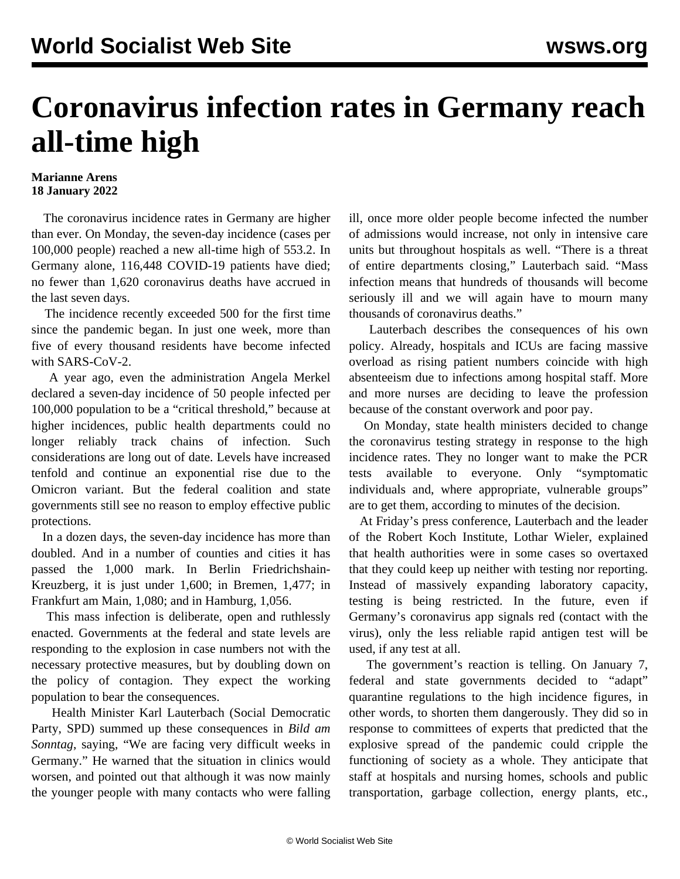## **Coronavirus infection rates in Germany reach all-time high**

## **Marianne Arens 18 January 2022**

 The coronavirus incidence rates in Germany are higher than ever. On Monday, the seven-day incidence (cases per 100,000 people) reached a new all-time high of 553.2. In Germany alone, 116,448 COVID-19 patients have died; no fewer than 1,620 coronavirus deaths have accrued in the last seven days.

 The incidence recently exceeded 500 for the first time since the pandemic began. In just one week, more than five of every thousand residents have become infected with SARS-CoV-2.

 A year ago, even the administration Angela Merkel declared a seven-day incidence of 50 people infected per 100,000 population to be a "critical threshold," because at higher incidences, public health departments could no longer reliably track chains of infection. Such considerations are long out of date. Levels have increased tenfold and continue an exponential rise due to the Omicron variant. But the federal coalition and state governments still see no reason to employ effective public protections.

 In a dozen days, the seven-day incidence has more than doubled. And in a number of counties and cities it has passed the 1,000 mark. In Berlin Friedrichshain-Kreuzberg, it is just under 1,600; in Bremen, 1,477; in Frankfurt am Main, 1,080; and in Hamburg, 1,056.

 This mass infection is deliberate, open and ruthlessly enacted. Governments at the federal and state levels are responding to the explosion in case numbers not with the necessary protective measures, but by doubling down on the policy of contagion. They expect the working population to bear the consequences.

 Health Minister Karl Lauterbach (Social Democratic Party, SPD) summed up these consequences in *Bild am Sonntag*, saying, "We are facing very difficult weeks in Germany." He warned that the situation in clinics would worsen, and pointed out that although it was now mainly the younger people with many contacts who were falling

ill, once more older people become infected the number of admissions would increase, not only in intensive care units but throughout hospitals as well. "There is a threat of entire departments closing," Lauterbach said. "Mass infection means that hundreds of thousands will become seriously ill and we will again have to mourn many thousands of coronavirus deaths."

 Lauterbach describes the consequences of his own policy. Already, hospitals and ICUs are facing massive overload as rising patient numbers coincide with high absenteeism due to infections among hospital staff. More and more nurses are deciding to leave the profession because of the constant overwork and poor pay.

 On Monday, state health ministers decided to change the coronavirus testing strategy in response to the high incidence rates. They no longer want to make the PCR tests available to everyone. Only "symptomatic individuals and, where appropriate, vulnerable groups" are to get them, according to minutes of the decision.

 At Friday's press conference, Lauterbach and the leader of the Robert Koch Institute, Lothar Wieler, explained that health authorities were in some cases so overtaxed that they could keep up neither with testing nor reporting. Instead of massively expanding laboratory capacity, testing is being restricted. In the future, even if Germany's coronavirus app signals red (contact with the virus), only the less reliable rapid antigen test will be used, if any test at all.

 The government's reaction is telling. On January 7, federal and state governments decided to "adapt" quarantine regulations to the high incidence figures, in other words, to shorten them dangerously. They did so in response to committees of experts that predicted that the explosive spread of the pandemic could cripple the functioning of society as a whole. They anticipate that staff at hospitals and nursing homes, schools and public transportation, garbage collection, energy plants, etc.,